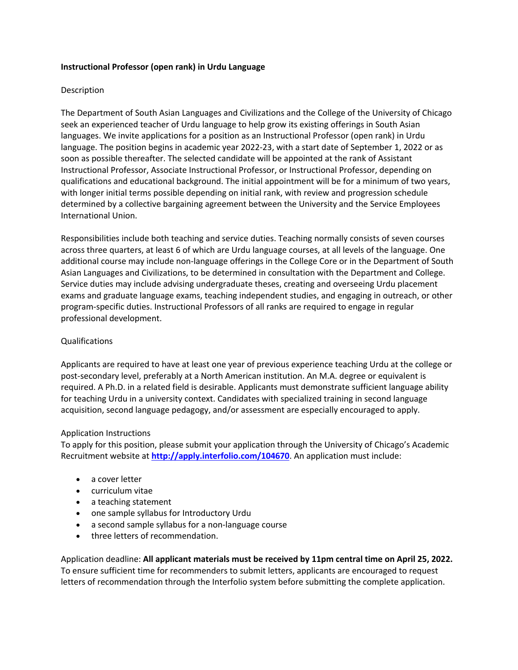## **Instructional Professor (open rank) in Urdu Language**

### Description

The Department of South Asian Languages and Civilizations and the College of the University of Chicago seek an experienced teacher of Urdu language to help grow its existing offerings in South Asian languages. We invite applications for a position as an Instructional Professor (open rank) in Urdu language. The position begins in academic year 2022-23, with a start date of September 1, 2022 or as soon as possible thereafter. The selected candidate will be appointed at the rank of Assistant Instructional Professor, Associate Instructional Professor, or Instructional Professor, depending on qualifications and educational background. The initial appointment will be for a minimum of two years, with longer initial terms possible depending on initial rank, with review and progression schedule determined by a collective bargaining agreement between the University and the Service Employees International Union.

Responsibilities include both teaching and service duties. Teaching normally consists of seven courses across three quarters, at least 6 of which are Urdu language courses, at all levels of the language. One additional course may include non-language offerings in the College Core or in the Department of South Asian Languages and Civilizations, to be determined in consultation with the Department and College. Service duties may include advising undergraduate theses, creating and overseeing Urdu placement exams and graduate language exams, teaching independent studies, and engaging in outreach, or other program-specific duties. Instructional Professors of all ranks are required to engage in regular professional development.

## Qualifications

Applicants are required to have at least one year of previous experience teaching Urdu at the college or post-secondary level, preferably at a North American institution. An M.A. degree or equivalent is required. A Ph.D. in a related field is desirable. Applicants must demonstrate sufficient language ability for teaching Urdu in a university context. Candidates with specialized training in second language acquisition, second language pedagogy, and/or assessment are especially encouraged to apply.

## Application Instructions

To apply for this position, please submit your application through the University of Chicago's Academic Recruitment website at **http://apply.interfolio.com/104670**. An application must include:

- a cover letter
- curriculum vitae
- a teaching statement
- one sample syllabus for Introductory Urdu
- a second sample syllabus for a non-language course
- three letters of recommendation.

Application deadline: **All applicant materials must be received by 11pm central time on April 25, 2022.** To ensure sufficient time for recommenders to submit letters, applicants are encouraged to request letters of recommendation through the Interfolio system before submitting the complete application.